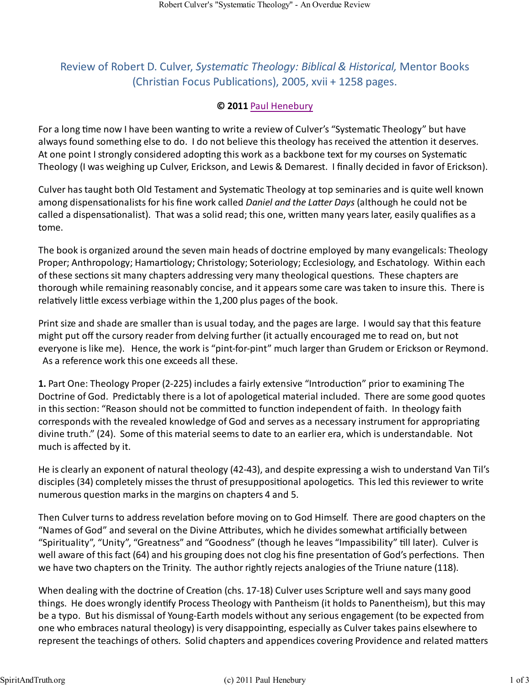## Review of Robert D. Culver, *Systematic Theology: Biblical & Historical*, Mentor Books (Christian Focus Publications), 2005, xvii + 1258 pages.

## **© 2011** Paul Henebury

For a long time now I have been wanting to write a review of Culver's "Systematic Theology" but have always found something else to do. I do not believe this theology has received the attention it deserves. At one point I strongly considered adopting this work as a backbone text for my courses on Systematic Theology (I was weighing up Culver, Erickson, and Lewis & Demarest. I finally decided in favor of Erickson).

Culver has taught both Old Testament and Systematic Theology at top seminaries and is quite well known among dispensationalists for his fine work called *Daniel and the Latter Days* (although he could not be called a dispensationalist). That was a solid read; this one, written many years later, easily qualifies as a tome.

The book is organized around the seven main heads of doctrine employed by many evangelicals: Theology Proper; Anthropology; Hamartiology; Christology; Soteriology; Ecclesiology, and Eschatology. Within each of these sections sit many chapters addressing very many theological questions. These chapters are thorough while remaining reasonably concise, and it appears some care was taken to insure this. There is relatively little excess verbiage within the 1,200 plus pages of the book.

Print size and shade are smaller than is usual today, and the pages are large. I would say that this feature might put off the cursory reader from delving further (it actually encouraged me to read on, but not everyone is like me). Hence, the work is "pint-for-pint" much larger than Grudem or Erickson or Reymond. As a reference work this one exceeds all these.

**1.** Part One: Theology Proper (2-225) includes a fairly extensive "Introduction" prior to examining The Doctrine of God. Predictably there is a lot of apologetical material included. There are some good quotes in this section: "Reason should not be committed to function independent of faith. In theology faith corresponds with the revealed knowledge of God and serves as a necessary instrument for appropriating divine truth." (24). Some of this material seems to date to an earlier era, which is understandable. Not much is affected by it.

He is clearly an exponent of natural theology (42-43), and despite expressing a wish to understand Van Til's disciples (34) completely misses the thrust of presuppositional apologetics. This led this reviewer to write numerous question marks in the margins on chapters 4 and 5.

Then Culver turns to address revelation before moving on to God Himself. There are good chapters on the "Names of God" and several on the Divine Attributes, which he divides somewhat artificially between "Spirituality", "Unity", "Greatness" and "Goodness" (though he leaves "Impassibility" till later). Culver is well aware of this fact (64) and his grouping does not clog his fine presentation of God's perfections. Then we have two chapters on the Trinity. The author rightly rejects analogies of the Triune nature (118).

When dealing with the doctrine of Creation (chs. 17-18) Culver uses Scripture well and says many good things. He does wrongly identify Process Theology with Pantheism (it holds to Panentheism), but this may be a typo. But his dismissal of Young-Earth models without any serious engagement (to be expected from one who embraces natural theology) is very disappointing, especially as Culver takes pains elsewhere to represent the teachings of others. Solid chapters and appendices covering Providence and related matters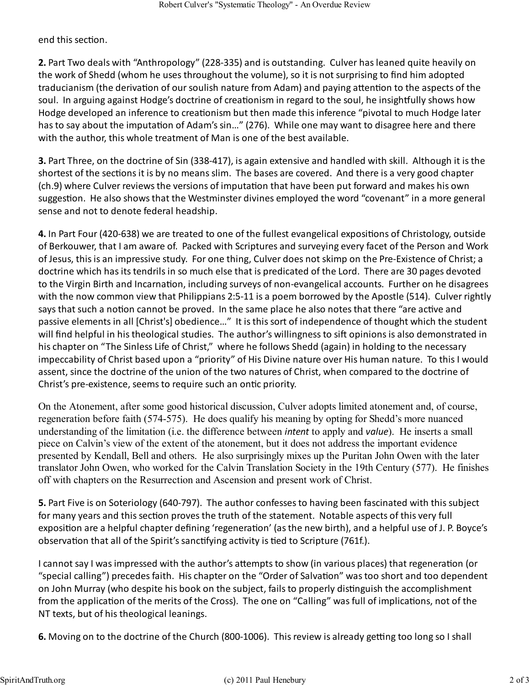end this section.

**2.** Part Two deals with "Anthropology" (228-335) and is outstanding. Culver has leaned quite heavily on the work of Shedd (whom he uses throughout the volume), so it is not surprising to find him adopted traducianism (the derivation of our soulish nature from Adam) and paying attention to the aspects of the soul. In arguing against Hodge's doctrine of creationism in regard to the soul, he insightfully shows how Hodge developed an inference to creationism but then made this inference "pivotal to much Hodge later has to say about the imputation of Adam's sin..." (276). While one may want to disagree here and there with the author, this whole treatment of Man is one of the best available.

**3.** Part Three, on the doctrine of Sin (338-417), is again extensive and handled with skill. Although it is the shortest of the sections it is by no means slim. The bases are covered. And there is a very good chapter (ch.9) where Culver reviews the versions of imputation that have been put forward and makes his own suggestion. He also shows that the Westminster divines employed the word "covenant" in a more general sense and not to denote federal headship.

**4.** In Part Four (420-638) we are treated to one of the fullest evangelical expositions of Christology, outside of Berkouwer, that I am aware of. Packed with Scriptures and surveying every facet of the Person and Work of Jesus, this is an impressive study. For one thing, Culver does not skimp on the Pre-Existence of Christ; a doctrine which has its tendrils in so much else that is predicated of the Lord. There are 30 pages devoted to the Virgin Birth and Incarnation, including surveys of non-evangelical accounts. Further on he disagrees with the now common view that Philippians 2:5-11 is a poem borrowed by the Apostle (514). Culver rightly says that such a notion cannot be proved. In the same place he also notes that there "are active and passive elements in all [Christ's] obedience…" It is this sort of independence of thought which the student will find helpful in his theological studies. The author's willingness to sift opinions is also demonstrated in his chapter on "The Sinless Life of Christ," where he follows Shedd (again) in holding to the necessary impeccability of Christ based upon a "priority" of His Divine nature over His human nature. To this I would assent, since the doctrine of the union of the two natures of Christ, when compared to the doctrine of Christ's pre-existence, seems to require such an ontic priority.

On the Atonement, after some good historical discussion, Culver adopts limited atonement and, of course, regeneration before faith (574-575). He does qualify his meaning by opting for Shedd's more nuanced understanding of the limitation (i.e. the difference between *intent* to apply and value). He inserts a small piece on Calvin's view of the extent of the atonement, but it does not address the important evidence presented by Kendall, Bell and others. He also surprisingly mixes up the Puritan John Owen with the later translator John Owen, who worked for the Calvin Translation Society in the 19th Century (577). He finishes off with chapters on the Resurrection and Ascension and present work of Christ.

**5.** Part Five is on Soteriology (640-797). The author confesses to having been fascinated with this subject for many years and this section proves the truth of the statement. Notable aspects of this very full exposition are a helpful chapter defining 'regeneration' (as the new birth), and a helpful use of J. P. Boyce's observation that all of the Spirit's sanctifying activity is tied to Scripture (761f.).

I cannot say I was impressed with the author's attempts to show (in various places) that regeneration (or "special calling") precedes faith. His chapter on the "Order of Salvation" was too short and too dependent on John Murray (who despite his book on the subject, fails to properly distinguish the accomplishment from the application of the merits of the Cross). The one on "Calling" was full of implications, not of the NT texts, but of his theological leanings.

**6.** Moving on to the doctrine of the Church (800-1006). This review is already getting too long so I shall